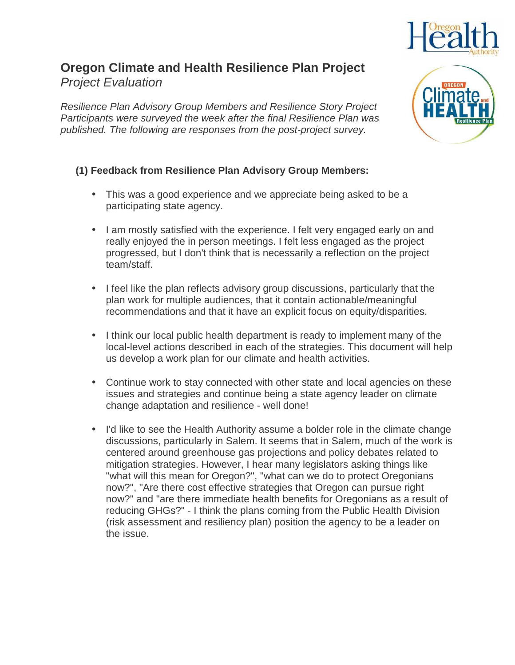

## **Oregon Climate and Health Resilience Plan Project**  Project Evaluation

Resilience Plan Advisory Group Members and Resilience Story Project Participants were surveyed the week after the final Resilience Plan was published. The following are responses from the post-project survey.

## **(1) Feedback from Resilience Plan Advisory Group Members:**

- This was a good experience and we appreciate being asked to be a participating state agency.
- I am mostly satisfied with the experience. I felt very engaged early on and really enjoyed the in person meetings. I felt less engaged as the project progressed, but I don't think that is necessarily a reflection on the project team/staff.
- I feel like the plan reflects advisory group discussions, particularly that the plan work for multiple audiences, that it contain actionable/meaningful recommendations and that it have an explicit focus on equity/disparities.
- I think our local public health department is ready to implement many of the local-level actions described in each of the strategies. This document will help us develop a work plan for our climate and health activities.
- Continue work to stay connected with other state and local agencies on these issues and strategies and continue being a state agency leader on climate change adaptation and resilience - well done!
- I'd like to see the Health Authority assume a bolder role in the climate change discussions, particularly in Salem. It seems that in Salem, much of the work is centered around greenhouse gas projections and policy debates related to mitigation strategies. However, I hear many legislators asking things like "what will this mean for Oregon?", "what can we do to protect Oregonians now?", "Are there cost effective strategies that Oregon can pursue right now?" and "are there immediate health benefits for Oregonians as a result of reducing GHGs?" - I think the plans coming from the Public Health Division (risk assessment and resiliency plan) position the agency to be a leader on the issue.